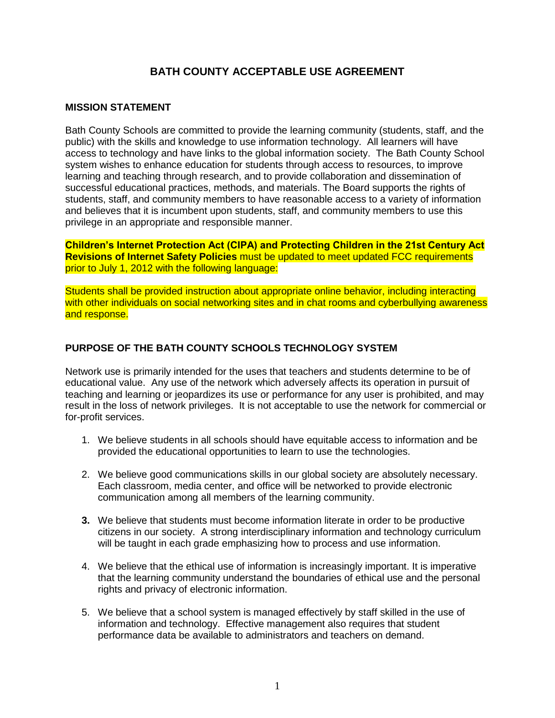# **BATH COUNTY ACCEPTABLE USE AGREEMENT**

#### **MISSION STATEMENT**

Bath County Schools are committed to provide the learning community (students, staff, and the public) with the skills and knowledge to use information technology. All learners will have access to technology and have links to the global information society. The Bath County School system wishes to enhance education for students through access to resources, to improve learning and teaching through research, and to provide collaboration and dissemination of successful educational practices, methods, and materials. The Board supports the rights of students, staff, and community members to have reasonable access to a variety of information and believes that it is incumbent upon students, staff, and community members to use this privilege in an appropriate and responsible manner.

**Children's Internet Protection Act (CIPA) and Protecting Children in the 21st Century Act Revisions of Internet Safety Policies** must be updated to meet updated FCC requirements prior to July 1, 2012 with the following language:

Students shall be provided instruction about appropriate online behavior, including interacting with other individuals on social networking sites and in chat rooms and cyberbullying awareness and response.

#### **PURPOSE OF THE BATH COUNTY SCHOOLS TECHNOLOGY SYSTEM**

Network use is primarily intended for the uses that teachers and students determine to be of educational value. Any use of the network which adversely affects its operation in pursuit of teaching and learning or jeopardizes its use or performance for any user is prohibited, and may result in the loss of network privileges. It is not acceptable to use the network for commercial or for-profit services.

- 1. We believe students in all schools should have equitable access to information and be provided the educational opportunities to learn to use the technologies.
- 2. We believe good communications skills in our global society are absolutely necessary. Each classroom, media center, and office will be networked to provide electronic communication among all members of the learning community.
- **3.** We believe that students must become information literate in order to be productive citizens in our society. A strong interdisciplinary information and technology curriculum will be taught in each grade emphasizing how to process and use information.
- 4. We believe that the ethical use of information is increasingly important. It is imperative that the learning community understand the boundaries of ethical use and the personal rights and privacy of electronic information.
- 5. We believe that a school system is managed effectively by staff skilled in the use of information and technology. Effective management also requires that student performance data be available to administrators and teachers on demand.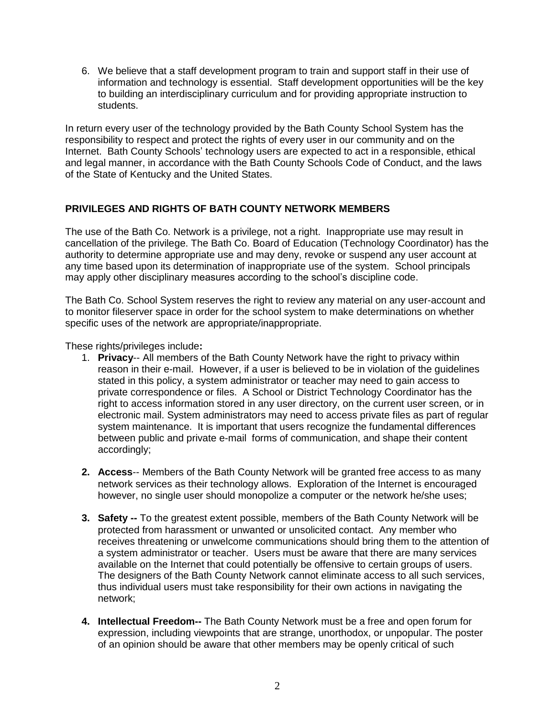6. We believe that a staff development program to train and support staff in their use of information and technology is essential. Staff development opportunities will be the key to building an interdisciplinary curriculum and for providing appropriate instruction to students.

In return every user of the technology provided by the Bath County School System has the responsibility to respect and protect the rights of every user in our community and on the Internet. Bath County Schools' technology users are expected to act in a responsible, ethical and legal manner, in accordance with the Bath County Schools Code of Conduct, and the laws of the State of Kentucky and the United States.

### **PRIVILEGES AND RIGHTS OF BATH COUNTY NETWORK MEMBERS**

The use of the Bath Co. Network is a privilege, not a right. Inappropriate use may result in cancellation of the privilege. The Bath Co. Board of Education (Technology Coordinator) has the authority to determine appropriate use and may deny, revoke or suspend any user account at any time based upon its determination of inappropriate use of the system. School principals may apply other disciplinary measures according to the school's discipline code.

The Bath Co. School System reserves the right to review any material on any user-account and to monitor fileserver space in order for the school system to make determinations on whether specific uses of the network are appropriate/inappropriate.

These rights/privileges include**:**

- 1. **Privacy**-- All members of the Bath County Network have the right to privacy within reason in their e-mail. However, if a user is believed to be in violation of the guidelines stated in this policy, a system administrator or teacher may need to gain access to private correspondence or files. A School or District Technology Coordinator has the right to access information stored in any user directory, on the current user screen, or in electronic mail. System administrators may need to access private files as part of regular system maintenance. It is important that users recognize the fundamental differences between public and private e-mail forms of communication, and shape their content accordingly;
- **2. Access**-- Members of the Bath County Network will be granted free access to as many network services as their technology allows. Exploration of the Internet is encouraged however, no single user should monopolize a computer or the network he/she uses;
- **3. Safety --** To the greatest extent possible, members of the Bath County Network will be protected from harassment or unwanted or unsolicited contact. Any member who receives threatening or unwelcome communications should bring them to the attention of a system administrator or teacher. Users must be aware that there are many services available on the Internet that could potentially be offensive to certain groups of users. The designers of the Bath County Network cannot eliminate access to all such services, thus individual users must take responsibility for their own actions in navigating the network;
- **4. Intellectual Freedom--** The Bath County Network must be a free and open forum for expression, including viewpoints that are strange, unorthodox, or unpopular. The poster of an opinion should be aware that other members may be openly critical of such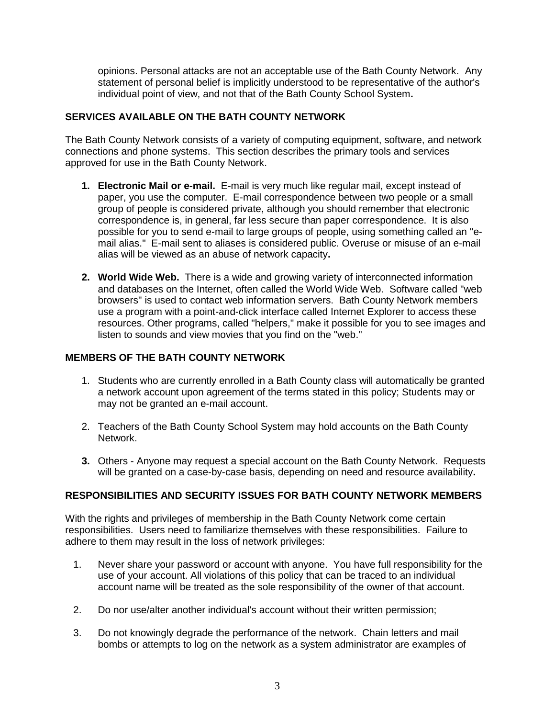opinions. Personal attacks are not an acceptable use of the Bath County Network. Any statement of personal belief is implicitly understood to be representative of the author's individual point of view, and not that of the Bath County School System**.**

### **SERVICES AVAILABLE ON THE BATH COUNTY NETWORK**

The Bath County Network consists of a variety of computing equipment, software, and network connections and phone systems. This section describes the primary tools and services approved for use in the Bath County Network.

- **1. Electronic Mail or e-mail.** E-mail is very much like regular mail, except instead of paper, you use the computer. E-mail correspondence between two people or a small group of people is considered private, although you should remember that electronic correspondence is, in general, far less secure than paper correspondence. It is also possible for you to send e-mail to large groups of people, using something called an "email alias." E-mail sent to aliases is considered public. Overuse or misuse of an e-mail alias will be viewed as an abuse of network capacity**.**
- **2. World Wide Web.** There is a wide and growing variety of interconnected information and databases on the Internet, often called the World Wide Web. Software called "web browsers" is used to contact web information servers. Bath County Network members use a program with a point-and-click interface called Internet Explorer to access these resources. Other programs, called "helpers," make it possible for you to see images and listen to sounds and view movies that you find on the "web."

#### **MEMBERS OF THE BATH COUNTY NETWORK**

- 1. Students who are currently enrolled in a Bath County class will automatically be granted a network account upon agreement of the terms stated in this policy; Students may or may not be granted an e-mail account.
- 2. Teachers of the Bath County School System may hold accounts on the Bath County Network.
- **3.** Others Anyone may request a special account on the Bath County Network. Requests will be granted on a case-by-case basis, depending on need and resource availability**.**

#### **RESPONSIBILITIES AND SECURITY ISSUES FOR BATH COUNTY NETWORK MEMBERS**

With the rights and privileges of membership in the Bath County Network come certain responsibilities. Users need to familiarize themselves with these responsibilities. Failure to adhere to them may result in the loss of network privileges:

- 1. Never share your password or account with anyone. You have full responsibility for the use of your account. All violations of this policy that can be traced to an individual account name will be treated as the sole responsibility of the owner of that account.
- 2. Do nor use/alter another individual's account without their written permission;
- 3. Do not knowingly degrade the performance of the network. Chain letters and mail bombs or attempts to log on the network as a system administrator are examples of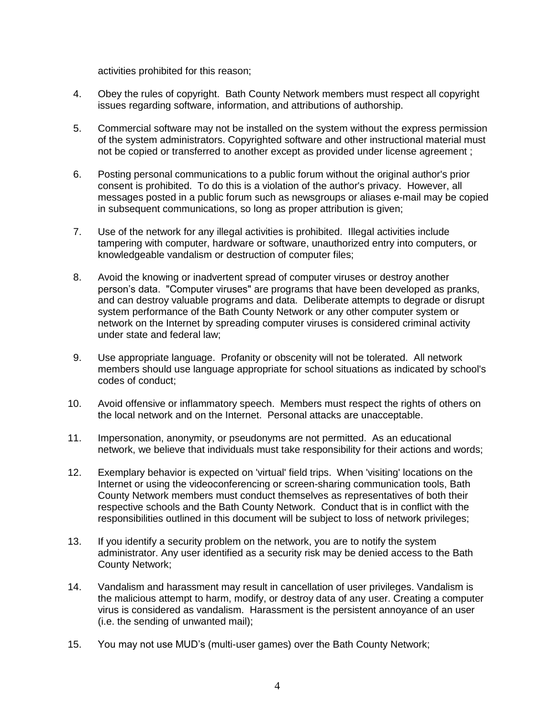activities prohibited for this reason;

- 4. Obey the rules of copyright. Bath County Network members must respect all copyright issues regarding software, information, and attributions of authorship.
- 5. Commercial software may not be installed on the system without the express permission of the system administrators. Copyrighted software and other instructional material must not be copied or transferred to another except as provided under license agreement ;
- 6. Posting personal communications to a public forum without the original author's prior consent is prohibited. To do this is a violation of the author's privacy. However, all messages posted in a public forum such as newsgroups or aliases e-mail may be copied in subsequent communications, so long as proper attribution is given;
- 7. Use of the network for any illegal activities is prohibited. Illegal activities include tampering with computer, hardware or software, unauthorized entry into computers, or knowledgeable vandalism or destruction of computer files;
- 8. Avoid the knowing or inadvertent spread of computer viruses or destroy another person's data. "Computer viruses" are programs that have been developed as pranks, and can destroy valuable programs and data. Deliberate attempts to degrade or disrupt system performance of the Bath County Network or any other computer system or network on the Internet by spreading computer viruses is considered criminal activity under state and federal law;
- 9. Use appropriate language. Profanity or obscenity will not be tolerated. All network members should use language appropriate for school situations as indicated by school's codes of conduct;
- 10. Avoid offensive or inflammatory speech. Members must respect the rights of others on the local network and on the Internet. Personal attacks are unacceptable.
- 11. Impersonation, anonymity, or pseudonyms are not permitted. As an educational network, we believe that individuals must take responsibility for their actions and words;
- 12. Exemplary behavior is expected on 'virtual' field trips. When 'visiting' locations on the Internet or using the videoconferencing or screen-sharing communication tools, Bath County Network members must conduct themselves as representatives of both their respective schools and the Bath County Network. Conduct that is in conflict with the responsibilities outlined in this document will be subject to loss of network privileges;
- 13. If you identify a security problem on the network, you are to notify the system administrator. Any user identified as a security risk may be denied access to the Bath County Network;
- 14. Vandalism and harassment may result in cancellation of user privileges. Vandalism is the malicious attempt to harm, modify, or destroy data of any user. Creating a computer virus is considered as vandalism. Harassment is the persistent annoyance of an user (i.e. the sending of unwanted mail);
- 15. You may not use MUD's (multi-user games) over the Bath County Network;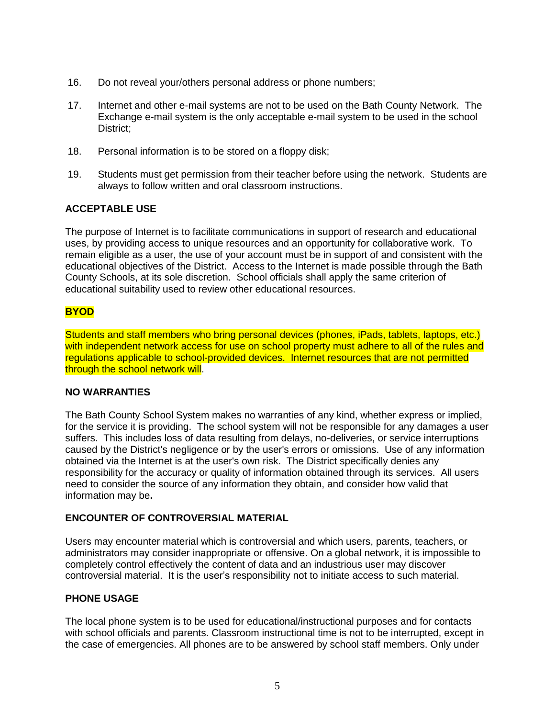- 16. Do not reveal your/others personal address or phone numbers;
- 17. Internet and other e-mail systems are not to be used on the Bath County Network. The Exchange e-mail system is the only acceptable e-mail system to be used in the school District;
- 18. Personal information is to be stored on a floppy disk;
- 19. Students must get permission from their teacher before using the network. Students are always to follow written and oral classroom instructions.

#### **ACCEPTABLE USE**

The purpose of Internet is to facilitate communications in support of research and educational uses, by providing access to unique resources and an opportunity for collaborative work. To remain eligible as a user, the use of your account must be in support of and consistent with the educational objectives of the District. Access to the Internet is made possible through the Bath County Schools, at its sole discretion. School officials shall apply the same criterion of educational suitability used to review other educational resources.

## **BYOD**

Students and staff members who bring personal devices (phones, iPads, tablets, laptops, etc.) with independent network access for use on school property must adhere to all of the rules and regulations applicable to school-provided devices. Internet resources that are not permitted through the school network will.

#### **NO WARRANTIES**

The Bath County School System makes no warranties of any kind, whether express or implied, for the service it is providing. The school system will not be responsible for any damages a user suffers. This includes loss of data resulting from delays, no-deliveries, or service interruptions caused by the District's negligence or by the user's errors or omissions. Use of any information obtained via the Internet is at the user's own risk. The District specifically denies any responsibility for the accuracy or quality of information obtained through its services. All users need to consider the source of any information they obtain, and consider how valid that information may be**.**

#### **ENCOUNTER OF CONTROVERSIAL MATERIAL**

Users may encounter material which is controversial and which users, parents, teachers, or administrators may consider inappropriate or offensive. On a global network, it is impossible to completely control effectively the content of data and an industrious user may discover controversial material. It is the user's responsibility not to initiate access to such material.

#### **PHONE USAGE**

The local phone system is to be used for educational/instructional purposes and for contacts with school officials and parents. Classroom instructional time is not to be interrupted, except in the case of emergencies. All phones are to be answered by school staff members. Only under